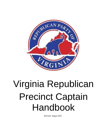

# Virginia Republican Precinct Captain Handbook

Revised: August 2021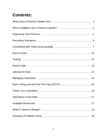# **Contents:**

| 17 |
|----|
|    |
|    |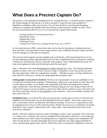# **What Does a Precinct Captain Do?**

The precinct is the fundamental building block for winning elections. A volunteer precinct captain is the central manager for the precinct. As such, your goal is to get the most votes possible for Republican candidates within your precinct. You can best do this by recruiting and managing volunteers to complete the multiple tasks that will turn out the maximum number of voters. This is the most powerful and effective way to win. Key Precinct Captain tasks include:

- Getting People In Your Precinct Involved
- Identifying Voters
- Registering Voters
- Informing Voters
- Turning Out Voters (a.k.a. Getting Out the Vote, a.k.a. GOTV)

In very small precincts (300+ voters) these tasks can be done by one person, in medium precincts they will need a core team (600+), but in large precincts (up to 5,000) the Precinct Captain will need to be the manager of a full team of volunteers.

This precinct-level program can take multiple years to build into a fully functioning level so if you are just starting out, please understand that each year this is implemented (if you are good at retaining volunteers) it will get easier and you will make more progress. Never underestimate the power of a team encouraging each other and all pulling towards the same goal!

John C. Maxwell, in his book Developing the Leaders Around You, notes, "Developing leadership qualities in others is the way to ensure success in today's competitive world, because the one asset that truly appreciates within any organization is people…. [P]eople can grow, develop, and become more effective if they have a leader who understands their potential value."

*Getting people in your precinct involved.* The best way to get people to want your candidates to win is to get them invested in the campaign. Volunteering is a great way to get people invested. Start with a small request and then, as you deepen your relationship with them, encourage them to make a larger commitment. Then the most committed will keep asking you for more things to help with. (If you have the luxury to run out of projects, reach out to other precinct captains in your city/county and see if they need help.) Always be very grateful to your volunteers—they are incredibly valuable, and they need to know it!

*Identifying Voters.* Get to know the voters in your precinct. A great place to start is to welcome new neighbors and let them know you are their Republican Precinct Captain—this can be a good way to start a conversation which can determine their political leanings. If you live in a large precinct, find an outgoing person to focus on this welcome project. People who are new to a community are usually looking for ways to plug in, make friends, and—when asked—they naturally become some of the most active volunteers.

Ideally, a Precinct Captain (or precinct team) will engage as many voters as possible. First, learn who is a "swing voter" (someone who votes for candidates from both parties) and who is a low propensity voter (someone who rarely votes). Persuading these two categories to support your candidate(s) will often win the election. Second, find people who are not registered, see if they support Republican views, and then help register those who do. Third, know who is consistently a Republican voter and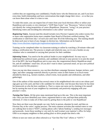confirm they are supporting your candidate(s). Finally know who the Democrats are, and if you have extra time, build relationships and have conversations that might change their views—or so that you can leave them alone when it is time to vote.

To make this easier, you can request lists of voters from your local elections office or utilize your Republican unit (county or city) chairman's "GOP Data Center" (see "Resources," below) to help you identify the voting propensities of voters (Republican, Democrat, "swing") in your precinct. Identifying voters and recording this information is also called "canvassing."

*Registering Voters.* Anyone (and this should include every Precinct Captain) who orders twenty-five or more voter registration forms must complete State Board of Elections certified training. The certification is valid from July 1 of each year until June 30 of the following year. The training should be done each year to learn of any changes in election law. Information can be found at [https://www.elections.virginia.gov/registration/registration-drives/.](https://www.elections.virginia.gov/registration/registration-drives/)

Training can be completed either via classroom training or online by watching a 20-minute video and taking a certification test. The process is simple and relatively easy, so it is not a burden on any volunteer who is committed to carrying their precinct for their candidate.

*Informing Voters.* You need to be the political leader in your neighborhood. An easy way to understand key political issues, positions, and candidates relevant to your precinct is to join the email list of the RPV, the local Republican unit in your area, the congressional district Republican email list, and all candidates' email lists. (If you don't want to share a personal email, set up a new political email account for this purpose.)

Once you tap into these resources, you can then distribute campaign literature, bumper stickers, yard signs, and other campaign materials directly to precinct voters at their homes or at local events attended by them (e.g., farmers markets, school events, local parades and celebrations, and other gatherings).

One of the authors of this manual has several voters in his neighborhood who wait to see whose yard sign goes up in his yard, and that is the candidate for whom they vote because they know he has done his homework on who the best candidate is. That is a status one earns not by claiming it for oneself but by earning the trust of your neighbors by consistently and positively engaging with your precinct's voters.

*Turning Out Voters.* All the prior steps mentioned lead up to this one. This is the most important role. Once you have identified your voters, registered them to vote, and kept them politically informed, it's time to make all of that count by getting them to the polls to vote Republican!

Now there are three ways that people can vote: Early in-person, absentee by mail, and then on Election Day at the voters' regular precinct. The most common activities that remind voters to vote are walking door-to-door ("D2D"), making phone calls ("phone banking"), sending text messages and postcards. Assist those needing to vote early by mail (contact your registrar's office for help). Offer to accompany neighbors to their polling place or drive people that need a ride.

Efforts to turn out voters are often referred to as "Get-Out-The-Vote" efforts or "GOTV."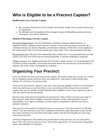# **Who is Eligible to be a Precinct Captain?**

#### **Qualifications to be a Precinct Captain:**

- Be a resident of the precinct (if no resident can be found, leaders from a nearby location may be considered)
- Be affiliated with the Republican Party through voting in the Republican primary election, convention, or by oath of affiliation

#### **Methods of Becoming a Precinct Captain:**

*Recruitment/Appointment:* The local Republican committee chairman, political director, or magisterial district chairman recruits Precinct Captains. If more than one person wants the role, a committee election can decide. Hopefully, all interested volunteers will be able to work together for the common goal. This is not about personal ego or fancy titles. This is about getting the job done.

*Recommended term:* Because of the relationship aspect of this role, it is recommended that you hold at least a two-year term which may be renewed repeatedly. Consistent leadership is important.

*Filling a vacancy:* Any eligible person may fill a Precinct Captain vacancy. It is recommended to fill vacancies as soon as possible. If more than one person desires the role that also can be decided by a majority vote of the county/city Republican committee.

# **Organizing Your Precinct:**

If you are taking over from a previous precinct captain, ask nicely to make sure you get ALL of their list of volunteers and tips and tricks from your predecessor. Take them to coffee and get them talking. You will learn a lot and save time!

If you are the first Precinct Captain in your area, create and keep updated a Word or Excel document where you add lessons as you learn them so you can easily pass them along to the next precinct captain when you are finished. Include important dates, deadlines, events, what response you got at each one, and all relevant information.

Become aware of the physical boundaries of your precinct. Most counties and cities post maps of their precincts. Make them available to potential volunteers so they understand their areas) of responsibility. If no maps are available, use street names or landmarks to describe your area to potential volunteers.

Next get a list of the number of registered voters in your precinct. Your best resource is GOP Data Center. Your unit chairman or any active candidates should have login information to this. Decide how many volunteers you will need to personally connect with all of the Republicans and swing voters in your precinct.

A Precinct Organization Chart (below) has proved ideal in many precincts, but you will quickly know if this will work for your area or not. Tailor these suggestions to fit your precinct's geography, needs, and availability of volunteers.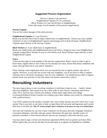#### **Suggested Precinct Organization**

Precinct Captain (1 per precinct) Neighborhood Captains (3-5 in a precinct) Block Workers (3-5 per sub-division or neighborhood) Voters (the target of each member of the precinct organization)

#### *Precinct Captain*

You are the central manager of the entire precinct.

#### *Neighborhood Captains* (3–5 per Precinct)

Break your precinct down into its major subdivisions or neighborhoods. Choose your most capable volunteers to serve as Neighborhood Captains and manage each of these divisions. Neighborhood Captains report directly to the Precinct Captain.

#### *Block Workers* (3–5 per subdivision or neighborhood)

Break your subdivisions and neighborhoods down into blocks. Assign (or have your Neighborhood Captains assign) Block Workers to one or a few blocks each. Block Workers report directly to their Neighborhood Captain.

#### *Voters*

Voters are the target of each member of the precinct organization. Reach voters in order to get to know them, register them to vote if they are not already (see note), inform them about candidates and issues, then get them out to vote and/or volunteer!

[Note: During a voter registration drive, you are required by law to register anyone who asks to register. However, as you talk one-on-one with your neighbors, you do not have to offer to register someone who is obviously not going to vote for your candidates. You should always offer to register anyone (from your precinct or not) who shares our mutual conservative values.]

### **Recruiting Volunteers**

The most logical place to start recruiting volunteers is with those closest to you — family, friends and close neighbors. Then spread your net a little wider to your church, community and service clubs, PTA, exercise class, retirees and students. (Often times, high school and college Government/Political Science teachers are willing to give their students extra credit for volunteering with a political party.)

You will be surprised at the number of people who want to help, but they just don't know how to get started. That is your job: to ask them to help, to make them feel welcome and important, and to teach them how to do their job. *The #1 reason people don't volunteer is because no one ever asked them.*

Ask your unit chairman for any lists of past volunteers for the party, previous campaign volunteers, convention delegates, and other relevant contact information the party has. Another source of potential volunteers is from elected officials who are not running for office this election cycle.

You may need to sign a routine non-disclosure agreement (NDA) form to protect such data. Most NDAs require that you not use the data for personal gain or to oppose any Republican candidate.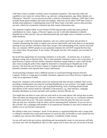GOP Data Center is another excellent source of potential volunteers. This data base offers the capability to sort voters by various filters, e.g., precinct, voting propensity, age, ethnic identity, etc. Filtering by "Hard Rs" in your precinct provides a solid list of potential volunteers. GOP Data Center includes home phone numbers and some cell numbers. Data laws do not allow GOP Data Center to include email addresses. Combining data from GOP Data Center with other sources often provides not only a likely list of potential volunteers but their contact information also.

The nonprofit Virginia Public Access Project (VPAP.org) provides useful data about political contributions by voters. Again, a Precinct Captain can use it with other databases to identify Republicans in their precinct who are interested politically and might want to volunteer as well as make donations.

Once you get a solid list of potential volunteers, call, text, and/or email them and ask them to consider volunteering. Be ready to explain your precinct plan briefly and invite them to an upcoming meeting of your precinct volunteers where they can get a full understanding of the various ways that they can volunteer. MOST people on your potential volunteer list will NOT respond the first time you contact them. Be persistent. If you contact 100 people and only 10% respond, you recruited 10 volunteers!

By far the best opportunity for recruiting volunteers is at the polls—on primary day, at in-person absentee voting, and on Election Day. This is when potential volunteers come to you at one place. A good Precinct Captain will have his/her volunteers distribute sample ballots to voters while he/she asks voters exiting the polls if they might be interested in volunteering for Republicans in the precinct. The first time one Precinct Captain in Virginia tried this technique, he signed up 67 potential volunteers and captured their contact information.

Avoid poaching volunteers from a different precinct to avoid hard feelings between Precinct Captains. If there is a large gap in available volunteers, approach your fellow Precinct Captain and work out an agreement to share.

Brand new volunteers will probably need to be mentored until they become confident. Start out by providing a briefing about your plan for reaching Republicans in your precinct. You might consider inviting them to your house for such a get-acquainted briefing. Such a briefing should include descriptions of the various needs for volunteers in the precinct, e.g., door knockers, campaign literature distributors at events and polls, poll watchers, election officials, etc.

You might then ask them to come with you and watch as you make phone calls and go door-to-door. Then ease them into being more talkative. As the new volunteers watch you, or a seasoned volunteer, it becomes much less scary. The more volunteers you have from the party the more you can pair them up with new volunteers, both for safety and for mentoring fresh volunteers. If you are new to this yourself, ask a campaign staff member or an experienced volunteer in your unit to mentor and shadow you as you become experienced.

Be willing to meet your volunteers' needs. If one person is a registered babysitter and a young mom is willing to volunteer but would need someone to watch her kids, be flexible to work outside the box to address any concerns that inhibit your volunteers' availability (within reason).

As you will read in the next section, identifying and canvassing the voters in your precinct will help you learn who will vote Republican. But it is also a great way to learn who you can recruit to be part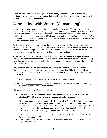of your precinct team. Find out who you can count on to go door-to-door, make phone calls, distribute yard signs, put bumper stickers on their vehicle, write letters to the editor, do social media, or contribute money to the county party.

### **Connecting with Voters (Canvassing)**

Identifying voters and recording that information is called "canvassing." This can be done by going door-to-door, phone calls, text messaging, during events, and even just whenever you meet someone in your neighborhood. Be sure to keep very good notes about each person's contact information, political affiliation, and interests. You will likely need to organize "block walks" or "phone banks" in your precinct. As the Precinct Captain, you should maintain the voter data for your entire precinct (or have a trusted volunteer do it).

The first and most important step is to obtain a copy of the records of all registered voters in your precinct. GOP Data Center should have this list or any well-funded candidate that has a phone app program. An alternative option for very small races is to use an Excel file to track the records of each voter and whether or not they have committed to support your candidate.

All the information gained from the following activities should be reported to the person in the precinct who is maintaining the records for your efforts. This is absolutely critical. You MUST keep track of the people with whom you talk and who are supportive of the campaign and who need to be encouraged to vote.

Using a canvass sheet is a great way to keep temporary notes until you are able to enter that information into a computer system. There a several phone apps (i.e., i360, Campaign Sidekick, etc. among many others) that can be used while going door-to-door to eliminate the need for data entry later in the day.

Here is a sample script for any precinct worker to use when meeting people:

*"Hi, my name is \_\_\_\_\_\_\_\_\_\_\_\_\_\_\_\_. I'm volunteering to do a survey in your neighborhood. Do you have just a couple of moments to help me with this?*

*Which party aligns more closely with your views?*

● If the person answers "Democrat", thank them politely and leave. **NEVER MENTION REGISTRATION to a person who is not supporting Republicans.**

[Note: More confident volunteers can ask why and work to find out their "hot-button" issues so that follow up information can be sent to the voter later. **Do not take more than 5 minutes max at each residence.** You have others with whom you need to speak as well. It is better to get necessary information on many people rather than totally in-depth information on only one or two voters who may not even vote for your candidates. ]

- If the person answers "Republican," ask *"Do you plan to vote for (Republican Candidate) for Governor and all other offices?*
- If the answer is "yes" or "no," also ask: *"Are there any other voters in their home and do they feel the same way?"*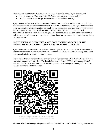*"Are you registered to vote? Is everyone of legal age in your household registered to vote?*

- If yes, thank them. If no, ask: *"Can I help you (them) register to vote today?"*
- Use their answer to encourage them to consider the Republican Party.

If you have taken the registration certification class and test mentioned earlier in this manual, then you know how to fill out and submit the registration form. If you have not, then you should read the entire form to glean what information you can from the instructions. You also may not collect more than twenty-five forms in the fiscal year (July 1 through June 30) without being certified. As a reminder, before you turn in the forms you have collected, glean the contact information from each form so you will know whom you have registered and how to contact them for follow-up during campaign season.

#### **DO NOT UNDER ANY CIRCUMSTANCES COPY OR KEEP A RECORD OF THE VOTER'S SOCIAL SECURITY NUMBER. THAT IS AGAINST THE LAW!!**

If you have collected several forms, you will need an alphabetical list of the names of registrants to turn in with the forms you have collected. You will need one list for each city or county from which you have collected a resident's registration form.

One of the best resources for voter registration is an independent app called "Turbo Vote." You can access this program at no cost from The Family Foundation Action (TFFA) by scanning this QR code with your smartphone. Turbo Vote allows a potential voter to register securely online. It also allows a voter to update their address.



https://familyfoundation.turboyote.org Created with My QRCode Generator iOS App

It is more effective than registering online with the Board of Elections for the following four reasons: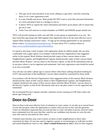- 1. This app can be used anywhere at any event, tabling at a gun show, churches, knocking doors, or at a voter registration event.
- 2. It is user friendly and secure. Most people DO NOT want to write their personal information on a form and hand it back to a stranger to turn in.
- 3. It allows TFFA to capture the voters information and follow up by phone calls to ensure they get out to vote.
- 4. Turbo Vote will send text or email reminders on WHEN and WHERE people should vote.

TFFA will provide training on turbo vote and i360 to your group or organization at no cost . We have found this app along with i360 targeted voter registration lists to be the most effective way to register likely leaning conservative voters . To sign up for training opportunities or any questions please contact: [brrritton@familyfoundation.org.](mailto:brrritton@familyfoundation.org) Or learn about TFF's coalition efforts at: [https://www.familyfoundation.org/coalitionefforts.](https://www.familyfoundation.org/coalitionefforts)

It is good to also keep a stack of paper voter registration sheets for elderly people who are more comfortable with a paper option. In accordance with the Precinct Organization Chart suggested earlier in this manual, Block Workers should provide copies of their canvass sheets to their Neighborhood Captains, and Neighborhood Captains should provide copies of their canvass sheets and their Block Workers' canvass sheets to the Precinct Captain, so that all the information ends up in one place where it can be organized and maintained. And voter registration cards should be turned in as soon as possible.

You will also use either a phone app or canvass sheets when block walking and phone banking for GOTV (discussed later in this handbook). Canvass sheets should be customized for those needs.

In accordance with the Precinct Organization Chart suggested earlier in this manual, Block Workers should provide copies of their canvass sheets to their Neighborhood Captains, and Neighborhood Captains should provide copies of their canvass sheets and their Block Workers' canvass sheets to the Precinct Captain, so that all the information ends up in one place where it can be organized and maintained.

We recommend Precinct Captains and their volunteers receive training on GOP Data Center and phone apps being used.

### **Door-to-Door**

Door-to-Door is the most effective form of volunteer-to-voter contact. It can take up to several hours of your day but gives voters the opportunity to connect with you face-to-face and ask questions. Voters are oftentimes impressed that you took the time to come visit them in person. (Several voters have commented over the years that they voted for our candidates only because we were the only ones who came by and asked for their votes.)

Volunteer door knockers may want to knock on doors in their neighborhood or block when convenient for them. Or you may want to organize a group, or several groups, to walk door-to-door and remind Republican voters to vote. (**Don't remind Democrats to vote!**). Door-to-Door happens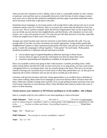when you have the volunteers to do it. Ideally, look at what is a reasonable number of voter contacts to make per week and then start at a reasonable time prior to the first day of early voting to contact each voter once to find out their preferred candidate(s) and then again to persuade undecided voters, and if necessary a third time to get them to the polls.

Sometimes local campaigns or city/county parties will arrange block walks and just ask you to recruit volunteers and be a part of it. However, there is no reason you cannot take the initiative to host one on your own. This is a perfect example where the Precinct Organization Chart can be of great help. If you can divide up your precinct into neighborhoods, and then blocks, with volunteers to cover each section, you've got your ground covered. You may join up with other precincts if you like, especially if there are targeted races which cover a few precincts.

Arrange one central location and a time for everyone to meet before and after the walk. You can arrange shifts if you like; two-hour increments are usually appropriate. Assign leaders (preferably Neighborhood Captains or other experienced participants who know your precinct well) to lead each group. Usually the campaign(s) will put together a "walk packet" for each leader. Walk packets should be provided on a clipboard with pen and need to include:

- List (or phone app) of targeted Republican addresses and maps to those houses
- Canvass sheet (or app) to record new information you find out about these voters
- Literature representing each Republican candidate in the general election

Have cars available to drive each group to their walk locations. Consider providing water, coffee and/or snacks before and after the walk. In more rural areas or on long streets, you may want to have a designated driver to accompany those who are actually going to the doors. This save a lot of time instead of having your canvassers have to back-track to where they parked their cars. (It also gives an important job to those volunteers who are just too shy to actually go to the doors.)

Literature with precinct locations and early voting opportunities is an excellent item to distribute to voters when walking. Many times local campaigns or your local election office will have items like these. Otherwise consider creating some yourself. (You can get polling locations and times from your City/County Chairman or local elections office.) Only distribute these items by hand to the voter or leave it at their doorstep.

#### **Clearly instruct your volunteers to NEVER put anything in or on the mailbox—this is illegal.**

Here is a sample script for your walkers to use when speaking to voters at the door:

*Walk Volunteer: "Hello, are you \_\_\_\_\_\_\_\_ My name is \_\_\_\_\_\_\_\_\_\_\_. I live here in (city/county), and I'm volunteering for (candidate's name or county party). I am stopping by to remind you to vote in the \_\_\_\_\_\_\_ election on (dates and times). Your polling location is \_\_\_\_\_\_\_\_\_\_."* (Hand them literature.)

*Voter: "Oh." "Thank you."*

*Walk Volunteer: "Do you plan to vote for (candidates' names)?*

*Voter: "Yes" or "No"*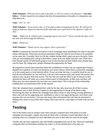*Walk Volunteer:* "*Will you need a ride to the polls, or will you want to vote absentee?"* (**see Note below**) -- If their reason for not voting is the lack of transportation to the polls, it is imperative you help them vote.

*Voter: "Yes" or "No"*

*Walk Volunteer: "If you need a ride, we'll be glad to make arrangements for that. We will also be happy to help you request an absentee ballot and make sure it gets back to the registrar's office on time."*

*Voter: "Might you be willing to put a campaign sign in your yard?" (If yes, provide the sign, or tell the voter you will arrange for delivery.)*

*Voter: "Thank you."*

*Walk Volunteer: "Thank you for your support. Have a great day!"*

**NOTE:** Communicate with the local party or local campaigns about possibilities for rides to the polls before offering this. With early (in-person absentee) voting, the rides do not all have to be available on the same day. Currently, there is a 45-day window during which voters can go to the polls. Some units are encouraging early voting so that others cannot steal your ballot and your vote. There have been limited reports of individuals going to vote on election day and their ballots have already been cast for them. By voting early, people eliminate this opportunity for fraud.

Be prepared to answer basic questions about the candidate(s) or issues you are supporting or being a Republican in general. If voters ask questions you cannot answer, direct them to particular campaigns or to the county party or local election office. If you can make the time, it would be ideal for you to find out the information (so you will have it the next time someone asks) and contact the person who asked so you can give them that answer. The fact that you took the effort to get an answer to their question for them will make you a more trusted source of information, in their eyes, and they will likely give you more attention the next time you contact them. This is all part of the relationship building that was mentioned earlier in this manual.

After the volunteers have completed their walk for the day, they must turn all of their canvass information over to their Precinct Captain (or the organization in charge of the block walk). Reviewing this data can inform the campaign team about whom to stop visiting (wrong addresses or those who will not be supporting your candidate) or who to visit again during your next block walk (anyone who was not home). You may also learn other information like who may be interested in helping your cause in ways other than voting. (They may ask for a yard sign or to walk with you next time.)

# **Texting**

One of the fastest ways to connect with voters and get a response back from them is to send campaign text messages. Legally, this must be done with a volunteer or paid individual who is pressing a key on a computer for each individual text sent so that bulk-text rules do not apply.

Usually only the more organized, and well-funded campaigns/units can do this. There are marketing companies that can find phone numbers for voters, or if you already have a list, they can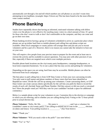automatically sort through a list and tell which numbers are cell phones so you don't waste time attempting to text landlines. (example: https://Glover.us) This has been found to be the most effective voter contact method.

# **Phone Banking**

Studies have repeatedly shown that having an informed, motivated volunteer talking with fellow voters over the phone is very effective for reaching many voters in a short amount of time. It's great for those who don't want to walk or don't feel comfortable on the computer, and they can come and go on their own time.

Phone banking involves having a group of volunteers scheduled to arrive at a particular place where phones are set up (either hard lines or mobile phones) and calling lists and phone scripts are available. Often local campaigns or county parties will arrange these and just ask you to recruit volunteers and be a part of it. However, there is no reason you cannot take the initiative to host one on your own.

This will require a few people from your precinct team to prepare for the event and at least one to oversee the activity and be available to answer questions. You may join with other precincts if you like, especially if there are targeted races which cover multiple precincts.

Possible phone bank locations are the city/county party headquarters, campaign headquarters, or local (non-corporate) businesses. Try to use a place that has easy access and parking for volunteers.

Depending on the space you are using, hard lines may be accessible. Mobile phones can often be borrowed from local campaigns.

The best place to pull calling lists is from GOP Data Center or from your own canvassing records. You only want to pull names and phone numbers of those voters that have been identified as Republican voters. Divide the call list up among your volunteers. Create canvassing sheets, or GOP Data Center can create canvass sheets specifically for the call lists you pull) for them to record the results of each call. (Include Name and Phone Number. Did they answer or did you reach a voicemail box? Have the people voted yet? Will they vote for your candidate? Include a space for additional comments.)

Below is a sample phone script for your volunteers to use. Customize this to the election or campaign to which you are referring, and to whether you are calling during Early Voting or the 72-hour period prior to actual election day.

**Phone Volunteer:** "Hello, Mr./Ms. My name is \_\_\_\_\_\_\_\_, and I am a volunteer for (candidate's name or city/county party). I am calling to remind you to vote in the \_\_\_\_\_\_\_ election on (dates and times). Your polling location is  $\cdot$  '' (See Note below)

*Voter:* "Thank you."

*Phone Volunteer:* "Will you need a ride to the polls?" (see note below)

*Voter:* "Yes" or "No".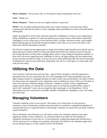*Phone Volunteer:* "If you need a ride, we'll be glad to make arrangements with you."

*Voter:* "Thank you."

*Phone Volunteer:* "Thank you for your support and have a great day."

**NOTE:** You can obtain polling locations from your county chairman or local elections office. Communicate with the local party or local campaigns about possibilities for rides to the polls before offering this.

Again, be prepared to answer basic questions about the candidate(s) or issues you are supporting or being a Republican in general. If voters ask questions you cannot answer, direct them to particular campaigns or to the county party or local elections office. (Unlike with door-to-door, most modern phone banking apps do not provide the phone number to the caller so you will not be able to call them back with the information yourself.)

The Precinct Captain (or the organization in charge of the phone bank) should receive all the canvass sheets that each volunteer filled out during the phone bank before the volunteer leaves for the day. Reviewing this data can inform the campaign about whom to stop calling (wrong phone numbers, or those who will not be supporting your candidate) or who to call again during your next phone bank session (anyone you did not reach). You may also learn other information like who may be interested in helping your cause in ways other than voting (they may ask for a yard sign or to come make calls with you next time).

# **Utilizing the Data**

Once you have collected and saved your data—use it! Follow through is critically important to gaining the trust of your community! Be sure to let campaigns know what households want yard signs, bumper stickers or campaign literature (or offer to pick it up and distribute it for them). Follow up with anyone who requested a voter registration card or needed extra time to fill it out. Put those to work who said they would be willing to volunteer - whether as a block worker, neighborhood captain, phone banker, etc. Inform the city/county party if you find any possible donors. Keep in touch with "undecided" voters who you might be able to persuade to vote Republican. All the information you have canvassed is incredibly valuable to Republican campaigns in your city/county and in the state.

### **Managing Volunteers**

Volunteer retention is key to your success. The easiest way to keep track of your precinct's volunteers, contact information, and their personal needs is to maintain a computerized database of everyone that has ever expressed interest in becoming a volunteer (or anyone that you think would be a good volunteer!)

This is absolutely critical because you will need to retain your volunteers and each year add a significant number of new volunteers. It is normal for there to be about 10-15% attrition of volunteers moving out of your area, etc. If you experience a larger percentage drop off than that, it will be necessary to re-evaluate your program, ask people who decline to be volunteers again what you are doing wrong, try to find a pattern, and fix the problem!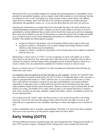Microsoft Excel© is an excellent program for creating and maintaining data in a spreadsheet. Excel provides the spreadsheet template, and you simply create fields (columns or rows) and enter the data by clicking on a box ("cell") and typing it in. Keep records of name, email, phone, cell, address, when they are available, what work they like to do, and then if possible any random personal information, like grandkids' names, etc. so you can ask about them the next time you reach out.

Entering your information in a program like Excel will enable the data to be easily sorted by any column depending on particular needs. Columns can also be easily added at any time in an Excel spreadsheet to include additional data as needs arise to benefit the county party and local campaigns. Rows may also be deleted at any time if information on a particular person will no longer be needed (e.g. if someone moves away). Keep independent information in a different column as much as possible. This enables the following (for example):

- sorting on Column F will produce a list of all people willing to place signs in their yard.
- sorting on Column G will produce a list of those willing to put bumper stickers on their vehicles so that stickers may be distributed.
- sorting on Column C and then D will produce a list of houses that can be walked in numerical order by street, etc...

Maintaining a column such as G ("OCC") on the occupations of voters will enable you to better know those in your precinct, how much time and at what time of day or night they may be able to volunteer for projects, and learn about which campaigns may be of special interest to them (e.g. a lawyer is likely to be very interested in candidates for Attorney General or clerk of court).

Reserve a column such as L ("Comments") to enter miscellaneous information that will help you better know your voters.

It is imperative that you backup all of your data files on your computer. Anyone can experience data loss, and chances are good at some point, you will. It is easy to accidentally delete a file; encounter a quirk in a program that results in a "fatal" software error; or you could even fall victim to a hard drive crash and lose everything. Losing all of your data could definitely cause major problems especially if it takes place days or weeks before the election, but by backing up your data, these major problems simply become minor annoyances. There are numerous ways to backup data, but the easiest is by using a recordable CD to create a back-up disk, or an external hard drive or memory stick. Once you back up your data, schedule a regular time (daily, weekly, or monthly) to protect all of your important files.

(If you back up on the "cloud," make sure that you have a very secure set-up with a very strong password. You do not want your data going to those who do not have the right to access it, and especially not to opponents of your candidates. Hacking is a reality and happens even to the best of us.)

It takes considerable time to assemble a good database. Therefore, it is vital to turn these computer files over to your successor or to the precinct captain when you leave office!

### **Early Voting (GOTV)**

The main difference between communicating with voters during the Early Voting period and the 72 hour GOTV period is urgency. During the Early Voting period, voters usually have from mid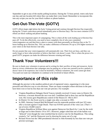September to get to any of the nearby polling locations. During the 72-hour period, voters only have one day and one location left where they can make their voice heard. Remember to incorporate this into any scripts you use for your block walkers or phone bankers.

# **Get-Out-The-Vote (GOTV)**

GOTV efforts begin right before the Early Voting period and continue through Election Day (especially during the 72-hour count-down period immediately prior to Election Day). The two most common GOTV efforts are block walking and phone banking.

This is the most important aspect of campaigning. This is where all the work leading up to Election Day pays off. To do this effectively, you need to have compiled a list of who your committed voters/supporters are and then have a plan to connect with them personally on Election Day or the 72 hours leading up to Election Day. This can make a difference of between 3% up to 25% higher turnout of your voters in the final election vote tally.

Do not assume that your voters/supporters will automatically vote. Their lives are busy, and they can easily forget or have other priorities or believe that their vote doesn't count. This is where the power of a good GOTV program can make the difference between winning and losing.

### **Thank Your Volunteers!!!**

Be sure to thank your volunteers in person and in writing for their sacrifice of time and resources. Invite them to victory celebrations that campaigns may be putting on, or host one yourself (can be a potluck; it doesn't have to be expensive, but it must be heartfelt!). Without volunteers, the work cannot get done. You (and we) want our volunteers to continue to be involved in future efforts.

# **Importance of this role**

Although the precinct is the smallest political unit of registered voters, organizing it is the most powerful and effective way to win elections. There are many examples where elections in the past have been won or lost by less than one vote per precinct. For example:

- Virginia Republican Delegate David Yancey initially received 13 more votes in District 94, however, a recount showed the race was tied. Candidates had to draw lots and the Republican won. His victory gave Republicans control of the House (51–49) in 2017.
- In District 53, Jim Scott won by a single vote after a recount in 1991.
- In 2005, Attorney General Bob McDonnell won his statewide position with just 323 votes after a recount against Creigh Deeds. That was 0.01663 percent of the votes cast. (That's 1 out of every 10,000 votes!)
- Virginia Republican William Moss won against Democrat Jim Burch by 1 vote for the sixth at-large seat in then-District 19 in 1971. However, judges ruled that one of the ballots was "defaced" even though the voter testified that he tried to vote for the Republican. This ruling created a "tie" and the Democrat won by drawing his name out of a cup.
- Richard Nixon lost the 1960 presidential election to John Kennedy by less than one vote per precinct (average).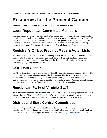Most elections can be won with effective, precinct-level work—it is a proven fact!

# **Resources for the Precinct Captain**

*Please do not hesitate to use the many resources that are available to you!*

### **Local Republican Committee Members**

Your unit chairman should be the Precinct Captain's main point of contact. If your unit committee has a headquarters staff, they may also be a good resource to answer questions about local issues. If your executive committee has elected officers, they may be good resources for specific inquiries like acquiring copies of minutes and contact information for members in your precinct (Secretary), questions about funds (Treasurer) or legal questions (General Counsel or Chairman).

### **Registrar's Office: Precinct Maps & Voter Lists**

Your local city/county election office can provide you with detailed maps of your precinct and the most recent list of registered voters for your county for a cost. Letting your local Republican committee buy it for the entire area and then split the data out to each precinct in the most cost effective way of getting the information.

#### **GOP Data Center**

GOP Data Center is a new system that was developed by a private vendor on contract with the RNC, and the RNC is the national administrator. The data is updated by the RPV to assist grassroots leaders and candidates in contacting voters. The system allows you to access information about registered voters in your area and also to identify voters you have met by Party and issue affiliations. You can request access forms from RPV Headquarters or your local unit chairman.

### **Republican Party of Virginia Staff**

If you have questions regarding statewide issues, RPV staff is available during regular business hours Monday through Friday[.](http://www.rpv.org/) [www.RPV.org.](http://www.rpv.org/) The RPV website hosts a wealth of information on party news, activities, as well as contact information for elected officials and party leadership.

#### **District and State Central Committees**

There are a large number of volunteers at the district and state levels who oversee our party's organization. They are volunteers who can assist your effort in many ways with personal, hands-on attention. You can find the best person to reach at: [https://virginia.gop/state-central-committee/.](https://virginia.gop/state-central-committee/)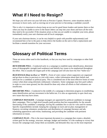# **What if I Need to Resign?**

We hope you will serve out your full term as Precinct Captain. However, some situations make it necessary to leave early, such as moving out of your precinct or becoming a candidate yourself.

This is why it is important to always keep an eye out for good future leaders and mentor them so that when you may be unable to serve in the future others can step into your shoes and have all the tools they need to be successful. If the situation arises so that you are unable to complete your term, please immediately notify your unit chairman and all local campaigns.

If your unit chairman desires, it can be very helpful to speak with possible replacement(s) and recommend him or her to the party to help relieve the burden on the unit to find a replacement and facilitate a smooth transition for your successor.

# **Glossary of Political Terms**

These are terms either used in this handbook, or that you may hear used by campaigns or other field workers.

*BENCHMARK POLL—*Conducted early in a campaign to establish name identification, determine areas of demographic strength (and weakness) and identify key issues to be emphasized throughout the effort. This is usually the largest poll of the campaign and will also have the first "ballot test."

*BLOCKWALK (Door-to-Door or "D2D")—*Form of voter contact where supporters are organized and go door-to-door in precincts to visit with voters, collect information about their beliefs and advocate for a candidate or political party. This is considered one of the most effective forms of voter contact when done using informed, enthusiastic volunteers. Some campaigns may hire paid walkers in order to cover more ground, but this should be done only when all efforts to find volunteers are insufficient.

*BRUSHFIRE POLL—*Conducted in the middle of a campaign to determine progress in establishing name identification and any movement in the ballot test. It is also an opportunity to spot check any new issues that may have arisen.

*CAMPAIGN MANAGER—*Campaign managers are appointed by political candidates to manage their campaigns. This is a high-level (usually paid) position that has responsibility for the smooth functioning of the candidate's campaign, leaving the candidate free to ask for votes and for money. Specific responsibilities include: keeping the campaign on track and on plan; management of finances; recruiting volunteers; productions and distribution of campaign literature and ads; scheduling appearances and events; fundraising; and providing the candidate with pertinent information on issues.

*CAMPAIGN PLAN—*This is the most important document in a campaign that creates a detailed, written goal for the strategy, structure, message, budget and timeline. It is the roadmap to victory that focuses the campaign team, keeps them accountable, and demands they stay on the most important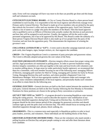tasks. Every well-run campaign will have way more to do than can possibly get done and this keeps staff and volunteers on track.

*CITY/COUNTY ELECTORAL BOARD—*A City or County Election Board is a three-person board established in each locality. It is responsible to hire the local registrar and effectively manage every Primary and/or General Election. The Board is made up of two members who are picked by the party that controls the Governor's office and one member of the opposition party. Each Unit Chairman submits a list of names to a judge who picks the members of the Board. Then this board approves who is qualified to serve as Officers of Election (who actually conduct the election at each precinct) and how they will be assigned to each precinct. Usually, the registrar will do the work to plan personnel assignments, but it has to be approved by this Board. This Board is under the authority of a three-person Virginia Electoral Board which is also made up of two people from the party of the Governor and one from the opposition party. This demonstrates the importance of winning the governor's seat.

*COLLATERAL (LITERATURE or "LIT")—*A term used to describe campaign materials such as push cards, door hangers, signs, bumper stickers, etc. that supports the candidate.

*CREED—*The Virginia Republican Creed is a statement of party principles and grassroots values. The Creed is officially adopted and governs the core values of the Party.

*ELECTION (OR BALLOT) INTEGRITY—*Election integrity efforts ensure that proper voting rules and fair, legal procedures are maintained at polling places. In order to prevent fraudulent voting, election integrity committees are often put together at the state and local levels with volunteers sent to monitor polling places. In large areas (or under particularly hostile registrars), we recommend that there be a committee, with each member focusing on one of the following areas: managing Officers of Election, managing poll watchers for Mail-In Voting, managing poll watchers for Early In-Person Voting, Managing Election-Day poll watchers, and where possible a Registered Voter List Maintenance Manager. With an area-appropriate number of volunteers under each manager who recruits, trains volunteers independently of the local registrar, and personally thanks each volunteer in an effort to retain them for the following year.

*GENERAL ELECTION—*General elections are held as the final contest between the nominees from each party. General elections are held on the first Tuesday following the first Monday in November. Nominees for these positions are chosen in the spring in Party conventions or primaries.

*GET OUT THE VOTE (or "GOTV")—A program devoted to increasing Republican voter turnout* during the voting process. The term is used to describe the massive voter mobilization of our previously identified supporters during Early Voting and on Election Day. An effective GOTV program should be the most intense period of the campaign for grassroots activities and should continue right up until the polls close on Election Day. This effort should focus on turning out all identified supporters through mail, phones, block walking, etc.

*GRASSROOTS—*This is a common term used especially in Republican politics to refer to local party leaders, activists, and volunteers. These individuals are the building blocks of the Party.

*GREETERS (LITERATURE DISTRIBUTORS)—*These are the volunteers who stand outside a polling location on Election Day and greet people coming to vote and offer them literature about each candidate.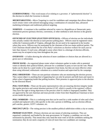*GUBERNATORIAL—*This word means of or relating to a governor. A "gubernatorial election" is the election in which the Governor is elected.

*MICROTARGETING—*Micro Targeting is a tool for candidates and campaigns that allows them to reach certain voters with tailored messaging using a combination of consumer data, advanced marketing techniques and traditional political targeting.

*NOMINEE—*A nominee is the candidate selected by voters in a Republican or Democratic party nomination process (primary election, convention, or other method) to seek election in the general election.

*OFFICERS OF ELECTION (ELECTION OFFICIALS)—*Officers of election are the individuals who actually conduct the election at each precinct polling place. Officers must be registered voters within the Commonwealth of Virginia, although they do not need to be registered in the locality where they serve. Officers may be nominated by the chairmen of the two major political parties. The Unit Chairman should submit the list of his Party's selections as election workers for each year no later than January 15 each year, although in areas where there is a shortage of election officials, names may be accepted at any time throughout the year.

*OVERVOTE—*A ballot showing the selection of more candidates or choices than are allowed in a given race or referendum.

*PHONE BANK—An* organized phone center where volunteers gather to make calls to potential voters to identify their political beliefs, advocate for a candidate or party or turn out the vote. Phone banks can be done by a paid vendor or by supporters from home, but they are most effective when done using informed, enthusiastic volunteers at a central location and supervised by the campaign.

*POLL OBSERVERS***—These are non-partisan volunteers who are monitoring the election process.** They cannot object to anything that is happening but can only be present and both learn and report to others what is happening inside that polling location. Their presence is approved prior to the election by the Electoral Board.

*POLL WATCHERs—*These are the party representatives who are ensuring election integrity inside the regular precincts and central absentee precinct (CAP, which is usually at the registrar's office). They have the right to bring objections to the precinct chief if a ballot is improperly handled. They are approved by the unit chairman and must provide a letter from their Republican Chairman to have access inside the precinct.

**POLL WORKERS—This is a confusing term that can be used for a wide number of roles and is best** avoided and replaced with a title specific to the role a person is fulfilling, such as election official, poll watcher, greeter, GOTV volunteer, etc.

*PRECINCT (PCT)—*The voting precinct is the smallest political subdivision within a city or county.

*PRIMARY ELECTION—Primary elections are one means of selecting nominees. They are* organized, conducted, and funded by the state government. In Virginia, a candidate can win the nomination by plurality. That means they only need the most votes of all the candidates seeking the nomination; they do not need a majority of votes (if more than two candidates are running).